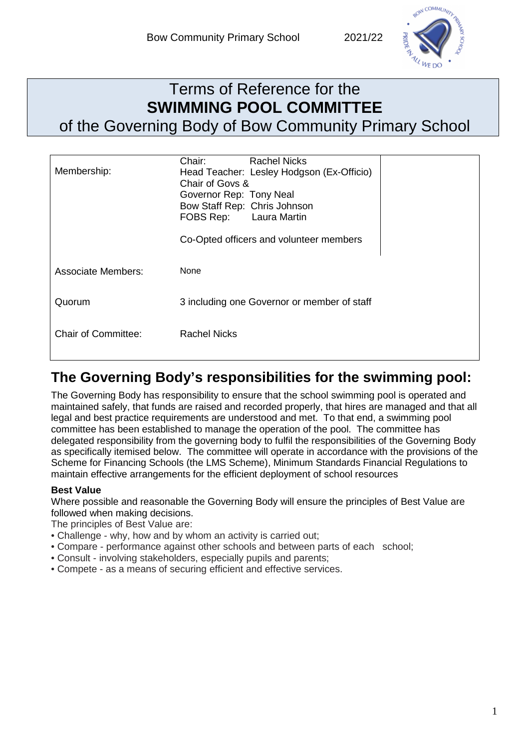

## Terms of Reference for the **SWIMMING POOL COMMITTEE**  of the Governing Body of Bow Community Primary School

| Membership:         | Chair:<br>Chair of Govs &<br>Governor Rep: Tony Neal<br>FOBS Rep: Laura Martin | <b>Rachel Nicks</b><br>Head Teacher: Lesley Hodgson (Ex-Officio)<br>Bow Staff Rep: Chris Johnson<br>Co-Opted officers and volunteer members |  |
|---------------------|--------------------------------------------------------------------------------|---------------------------------------------------------------------------------------------------------------------------------------------|--|
| Associate Members:  | None                                                                           |                                                                                                                                             |  |
| Quorum              |                                                                                | 3 including one Governor or member of staff                                                                                                 |  |
| Chair of Committee: | <b>Rachel Nicks</b>                                                            |                                                                                                                                             |  |

## **The Governing Body's responsibilities for the swimming pool:**

The Governing Body has responsibility to ensure that the school swimming pool is operated and maintained safely, that funds are raised and recorded properly, that hires are managed and that all legal and best practice requirements are understood and met. To that end, a swimming pool committee has been established to manage the operation of the pool. The committee has delegated responsibility from the governing body to fulfil the responsibilities of the Governing Body as specifically itemised below. The committee will operate in accordance with the provisions of the Scheme for Financing Schools (the LMS Scheme), Minimum Standards Financial Regulations to maintain effective arrangements for the efficient deployment of school resources

## **Best Value**

Where possible and reasonable the Governing Body will ensure the principles of Best Value are followed when making decisions.

The principles of Best Value are:

- Challenge why, how and by whom an activity is carried out;
- Compare performance against other schools and between parts of each school;
- Consult involving stakeholders, especially pupils and parents;
- Compete as a means of securing efficient and effective services.